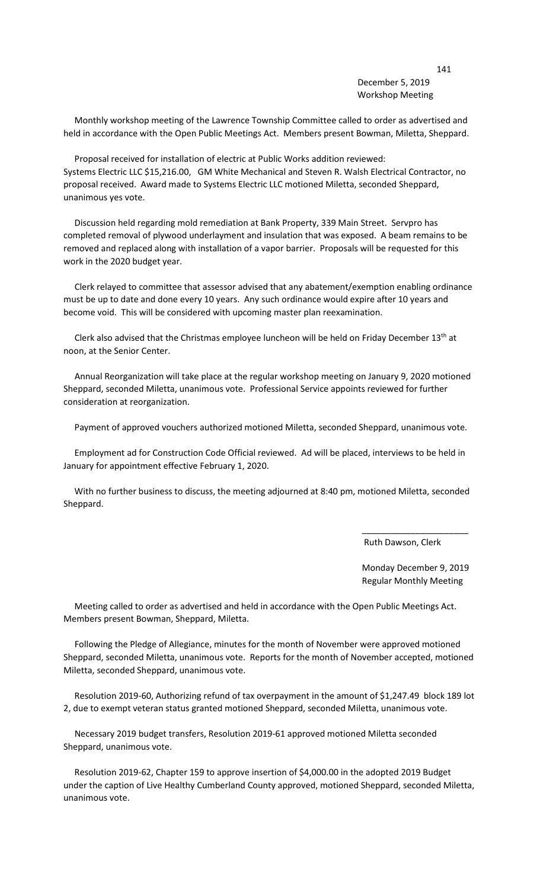## December 5, 2019 Workshop Meeting

 Monthly workshop meeting of the Lawrence Township Committee called to order as advertised and held in accordance with the Open Public Meetings Act. Members present Bowman, Miletta, Sheppard.

 Proposal received for installation of electric at Public Works addition reviewed: Systems Electric LLC \$15,216.00, GM White Mechanical and Steven R. Walsh Electrical Contractor, no proposal received. Award made to Systems Electric LLC motioned Miletta, seconded Sheppard, unanimous yes vote.

 Discussion held regarding mold remediation at Bank Property, 339 Main Street. Servpro has completed removal of plywood underlayment and insulation that was exposed. A beam remains to be removed and replaced along with installation of a vapor barrier. Proposals will be requested for this work in the 2020 budget year.

 Clerk relayed to committee that assessor advised that any abatement/exemption enabling ordinance must be up to date and done every 10 years. Any such ordinance would expire after 10 years and become void. This will be considered with upcoming master plan reexamination.

Clerk also advised that the Christmas employee luncheon will be held on Friday December  $13<sup>th</sup>$  at noon, at the Senior Center.

 Annual Reorganization will take place at the regular workshop meeting on January 9, 2020 motioned Sheppard, seconded Miletta, unanimous vote. Professional Service appoints reviewed for further consideration at reorganization.

Payment of approved vouchers authorized motioned Miletta, seconded Sheppard, unanimous vote.

 Employment ad for Construction Code Official reviewed. Ad will be placed, interviews to be held in January for appointment effective February 1, 2020.

 With no further business to discuss, the meeting adjourned at 8:40 pm, motioned Miletta, seconded Sheppard.

 $\overline{\phantom{a}}$  , and the contract of the contract of the contract of the contract of the contract of the contract of the contract of the contract of the contract of the contract of the contract of the contract of the contrac

Ruth Dawson, Clerk

 Monday December 9, 2019 Regular Monthly Meeting

 Meeting called to order as advertised and held in accordance with the Open Public Meetings Act. Members present Bowman, Sheppard, Miletta.

 Following the Pledge of Allegiance, minutes for the month of November were approved motioned Sheppard, seconded Miletta, unanimous vote. Reports for the month of November accepted, motioned Miletta, seconded Sheppard, unanimous vote.

 Resolution 2019-60, Authorizing refund of tax overpayment in the amount of \$1,247.49 block 189 lot 2, due to exempt veteran status granted motioned Sheppard, seconded Miletta, unanimous vote.

 Necessary 2019 budget transfers, Resolution 2019-61 approved motioned Miletta seconded Sheppard, unanimous vote.

 Resolution 2019-62, Chapter 159 to approve insertion of \$4,000.00 in the adopted 2019 Budget under the caption of Live Healthy Cumberland County approved, motioned Sheppard, seconded Miletta, unanimous vote.

141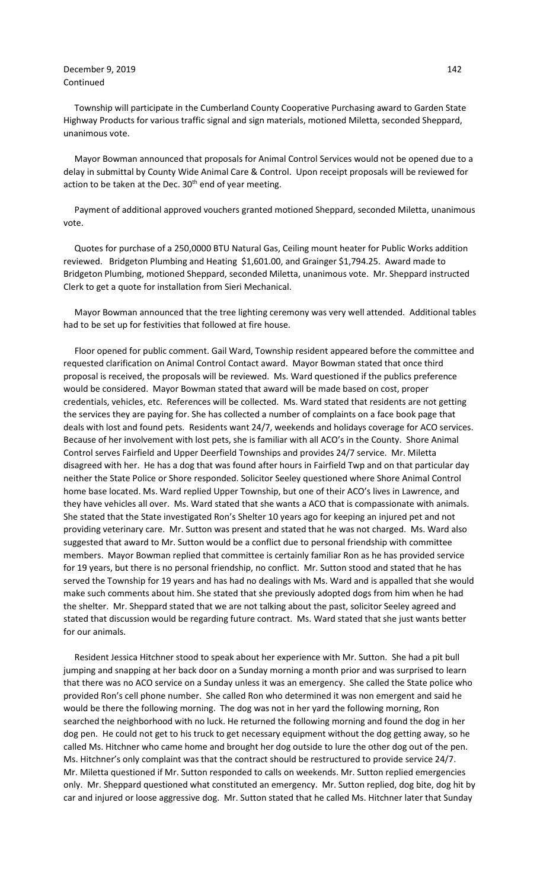## December 9, 2019 142 Continued

 Township will participate in the Cumberland County Cooperative Purchasing award to Garden State Highway Products for various traffic signal and sign materials, motioned Miletta, seconded Sheppard, unanimous vote.

 Mayor Bowman announced that proposals for Animal Control Services would not be opened due to a delay in submittal by County Wide Animal Care & Control. Upon receipt proposals will be reviewed for action to be taken at the Dec.  $30<sup>th</sup>$  end of year meeting.

 Payment of additional approved vouchers granted motioned Sheppard, seconded Miletta, unanimous vote.

 Quotes for purchase of a 250,0000 BTU Natural Gas, Ceiling mount heater for Public Works addition reviewed. Bridgeton Plumbing and Heating \$1,601.00, and Grainger \$1,794.25. Award made to Bridgeton Plumbing, motioned Sheppard, seconded Miletta, unanimous vote. Mr. Sheppard instructed Clerk to get a quote for installation from Sieri Mechanical.

 Mayor Bowman announced that the tree lighting ceremony was very well attended. Additional tables had to be set up for festivities that followed at fire house.

 Floor opened for public comment. Gail Ward, Township resident appeared before the committee and requested clarification on Animal Control Contact award. Mayor Bowman stated that once third proposal is received, the proposals will be reviewed. Ms. Ward questioned if the publics preference would be considered. Mayor Bowman stated that award will be made based on cost, proper credentials, vehicles, etc. References will be collected. Ms. Ward stated that residents are not getting the services they are paying for. She has collected a number of complaints on a face book page that deals with lost and found pets. Residents want 24/7, weekends and holidays coverage for ACO services. Because of her involvement with lost pets, she is familiar with all ACO's in the County. Shore Animal Control serves Fairfield and Upper Deerfield Townships and provides 24/7 service. Mr. Miletta disagreed with her. He has a dog that was found after hours in Fairfield Twp and on that particular day neither the State Police or Shore responded. Solicitor Seeley questioned where Shore Animal Control home base located. Ms. Ward replied Upper Township, but one of their ACO's lives in Lawrence, and they have vehicles all over. Ms. Ward stated that she wants a ACO that is compassionate with animals. She stated that the State investigated Ron's Shelter 10 years ago for keeping an injured pet and not providing veterinary care. Mr. Sutton was present and stated that he was not charged. Ms. Ward also suggested that award to Mr. Sutton would be a conflict due to personal friendship with committee members. Mayor Bowman replied that committee is certainly familiar Ron as he has provided service for 19 years, but there is no personal friendship, no conflict. Mr. Sutton stood and stated that he has served the Township for 19 years and has had no dealings with Ms. Ward and is appalled that she would make such comments about him. She stated that she previously adopted dogs from him when he had the shelter. Mr. Sheppard stated that we are not talking about the past, solicitor Seeley agreed and stated that discussion would be regarding future contract. Ms. Ward stated that she just wants better for our animals.

 Resident Jessica Hitchner stood to speak about her experience with Mr. Sutton. She had a pit bull jumping and snapping at her back door on a Sunday morning a month prior and was surprised to learn that there was no ACO service on a Sunday unless it was an emergency. She called the State police who provided Ron's cell phone number. She called Ron who determined it was non emergent and said he would be there the following morning. The dog was not in her yard the following morning, Ron searched the neighborhood with no luck. He returned the following morning and found the dog in her dog pen. He could not get to his truck to get necessary equipment without the dog getting away, so he called Ms. Hitchner who came home and brought her dog outside to lure the other dog out of the pen. Ms. Hitchner's only complaint was that the contract should be restructured to provide service 24/7. Mr. Miletta questioned if Mr. Sutton responded to calls on weekends. Mr. Sutton replied emergencies only. Mr. Sheppard questioned what constituted an emergency. Mr. Sutton replied, dog bite, dog hit by car and injured or loose aggressive dog. Mr. Sutton stated that he called Ms. Hitchner later that Sunday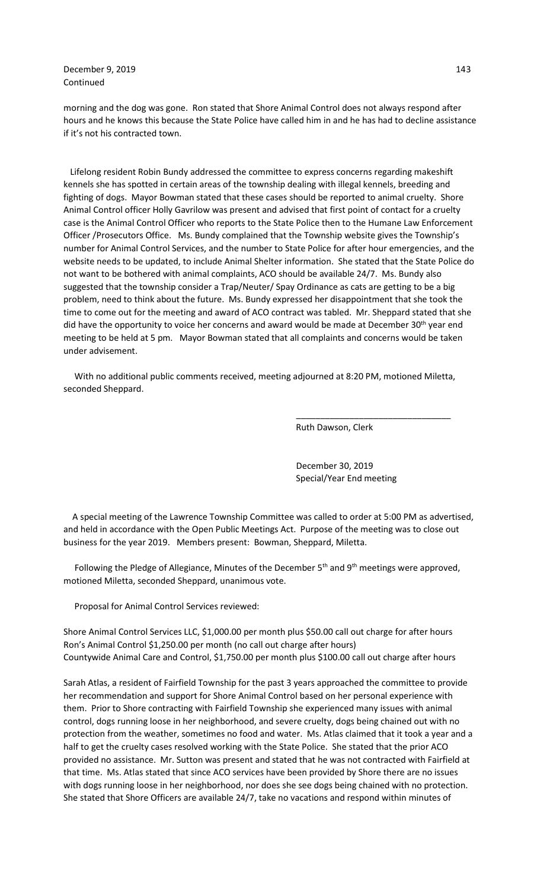December 9, 2019 143 Continued

morning and the dog was gone. Ron stated that Shore Animal Control does not always respond after hours and he knows this because the State Police have called him in and he has had to decline assistance if it's not his contracted town.

 Lifelong resident Robin Bundy addressed the committee to express concerns regarding makeshift kennels she has spotted in certain areas of the township dealing with illegal kennels, breeding and fighting of dogs. Mayor Bowman stated that these cases should be reported to animal cruelty. Shore Animal Control officer Holly Gavrilow was present and advised that first point of contact for a cruelty case is the Animal Control Officer who reports to the State Police then to the Humane Law Enforcement Officer /Prosecutors Office. Ms. Bundy complained that the Township website gives the Township's number for Animal Control Services, and the number to State Police for after hour emergencies, and the website needs to be updated, to include Animal Shelter information. She stated that the State Police do not want to be bothered with animal complaints, ACO should be available 24/7. Ms. Bundy also suggested that the township consider a Trap/Neuter/ Spay Ordinance as cats are getting to be a big problem, need to think about the future. Ms. Bundy expressed her disappointment that she took the time to come out for the meeting and award of ACO contract was tabled. Mr. Sheppard stated that she did have the opportunity to voice her concerns and award would be made at December 30<sup>th</sup> year end meeting to be held at 5 pm. Mayor Bowman stated that all complaints and concerns would be taken under advisement.

 With no additional public comments received, meeting adjourned at 8:20 PM, motioned Miletta, seconded Sheppard.

 $\overline{\phantom{a}}$  , and the contract of the contract of the contract of the contract of the contract of the contract of the contract of the contract of the contract of the contract of the contract of the contract of the contrac

Ruth Dawson, Clerk

 December 30, 2019 Special/Year End meeting

 A special meeting of the Lawrence Township Committee was called to order at 5:00 PM as advertised, and held in accordance with the Open Public Meetings Act. Purpose of the meeting was to close out business for the year 2019. Members present: Bowman, Sheppard, Miletta.

Following the Pledge of Allegiance, Minutes of the December  $5<sup>th</sup>$  and  $9<sup>th</sup>$  meetings were approved, motioned Miletta, seconded Sheppard, unanimous vote.

Proposal for Animal Control Services reviewed:

Shore Animal Control Services LLC, \$1,000.00 per month plus \$50.00 call out charge for after hours Ron's Animal Control \$1,250.00 per month (no call out charge after hours) Countywide Animal Care and Control, \$1,750.00 per month plus \$100.00 call out charge after hours

Sarah Atlas, a resident of Fairfield Township for the past 3 years approached the committee to provide her recommendation and support for Shore Animal Control based on her personal experience with them. Prior to Shore contracting with Fairfield Township she experienced many issues with animal control, dogs running loose in her neighborhood, and severe cruelty, dogs being chained out with no protection from the weather, sometimes no food and water. Ms. Atlas claimed that it took a year and a half to get the cruelty cases resolved working with the State Police. She stated that the prior ACO provided no assistance. Mr. Sutton was present and stated that he was not contracted with Fairfield at that time. Ms. Atlas stated that since ACO services have been provided by Shore there are no issues with dogs running loose in her neighborhood, nor does she see dogs being chained with no protection. She stated that Shore Officers are available 24/7, take no vacations and respond within minutes of